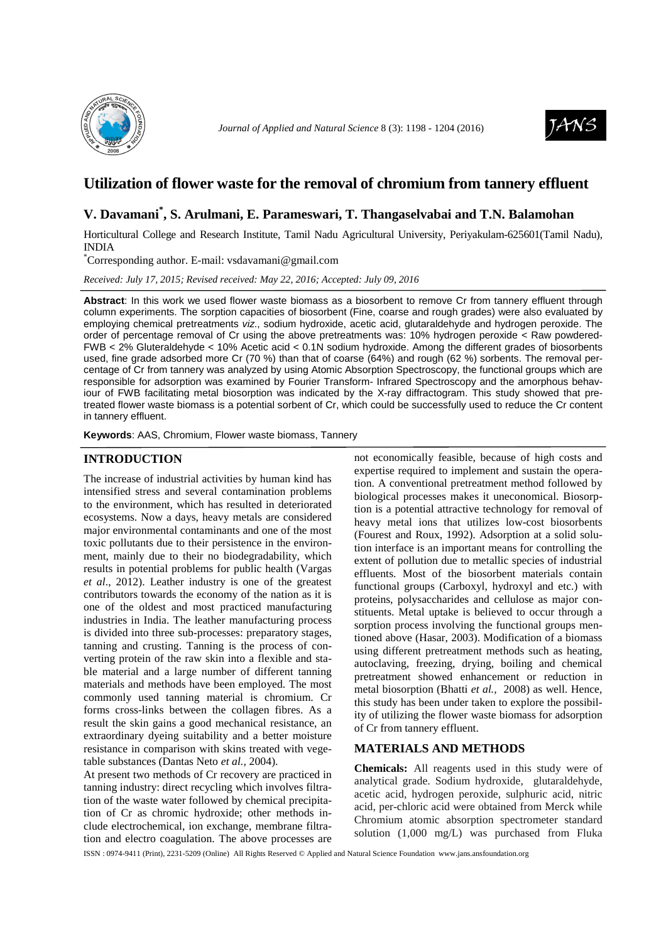



# **Utilization of flower waste for the removal of chromium from tannery effluent**

# **V. Davamani\* , S. Arulmani, E. Parameswari, T. Thangaselvabai and T.N. Balamohan**

Horticultural College and Research Institute, Tamil Nadu Agricultural University, Periyakulam-625601(Tamil Nadu), INDIA

\*Corresponding author. E-mail: vsdavamani@gmail.com

*Received: July 17, 2015; Revised received: May 22, 2016; Accepted: July 09, 2016*

**Abstract**: In this work we used flower waste biomass as a biosorbent to remove Cr from tannery effluent through column experiments. The sorption capacities of biosorbent (Fine, coarse and rough grades) were also evaluated by employing chemical pretreatments viz., sodium hydroxide, acetic acid, glutaraldehyde and hydrogen peroxide. The order of percentage removal of Cr using the above pretreatments was: 10% hydrogen peroxide < Raw powdered-FWB < 2% Gluteraldehyde < 10% Acetic acid < 0.1N sodium hydroxide. Among the different grades of biosorbents used, fine grade adsorbed more Cr (70 %) than that of coarse (64%) and rough (62 %) sorbents. The removal percentage of Cr from tannery was analyzed by using Atomic Absorption Spectroscopy, the functional groups which are responsible for adsorption was examined by Fourier Transform- Infrared Spectroscopy and the amorphous behaviour of FWB facilitating metal biosorption was indicated by the X-ray diffractogram. This study showed that pretreated flower waste biomass is a potential sorbent of Cr, which could be successfully used to reduce the Cr content in tannery effluent.

**Keywords**: AAS, Chromium, Flower waste biomass, Tannery

## **INTRODUCTION**

The increase of industrial activities by human kind has intensified stress and several contamination problems to the environment, which has resulted in deteriorated ecosystems. Now a days, heavy metals are considered major environmental contaminants and one of the most toxic pollutants due to their persistence in the environment, mainly due to their no biodegradability, which results in potential problems for public health (Vargas *et al*., 2012). Leather industry is one of the greatest contributors towards the economy of the nation as it is one of the oldest and most practiced manufacturing industries in India. The leather manufacturing process is divided into three sub-processes: preparatory stages, tanning and crusting. Tanning is the process of converting protein of the raw skin into a flexible and stable material and a large number of different tanning materials and methods have been employed. The most commonly used tanning material is chromium. Cr forms cross-links between the collagen fibres. As a result the skin gains a good mechanical resistance, an extraordinary dyeing suitability and a better moisture resistance in comparison with skins treated with vegetable substances (Dantas Neto *et al.,* 2004).

At present two methods of Cr recovery are practiced in tanning industry: direct recycling which involves filtration of the waste water followed by chemical precipitation of Cr as chromic hydroxide; other methods include electrochemical, ion exchange, membrane filtration and electro coagulation. The above processes are

not economically feasible, because of high costs and expertise required to implement and sustain the operation. A conventional pretreatment method followed by biological processes makes it uneconomical. Biosorption is a potential attractive technology for removal of heavy metal ions that utilizes low-cost biosorbents (Fourest and Roux, 1992). Adsorption at a solid solution interface is an important means for controlling the extent of pollution due to metallic species of industrial effluents. Most of the biosorbent materials contain functional groups (Carboxyl, hydroxyl and etc.) with proteins, polysaccharides and cellulose as major constituents. Metal uptake is believed to occur through a sorption process involving the functional groups mentioned above (Hasar, 2003). Modification of a biomass using different pretreatment methods such as heating, autoclaving, freezing, drying, boiling and chemical pretreatment showed enhancement or reduction in metal biosorption (Bhatti *et al.,* 2008) as well. Hence, this study has been under taken to explore the possibility of utilizing the flower waste biomass for adsorption of Cr from tannery effluent.

## **MATERIALS AND METHODS**

**Chemicals:** All reagents used in this study were of analytical grade. Sodium hydroxide, glutaraldehyde, acetic acid, hydrogen peroxide, sulphuric acid, nitric acid, per-chloric acid were obtained from Merck while Chromium atomic absorption spectrometer standard solution (1,000 mg/L) was purchased from Fluka

ISSN : 0974-9411 (Print), 2231-5209 (Online) All Rights Reserved © Applied and Natural Science Foundation www.jans.ansfoundation.org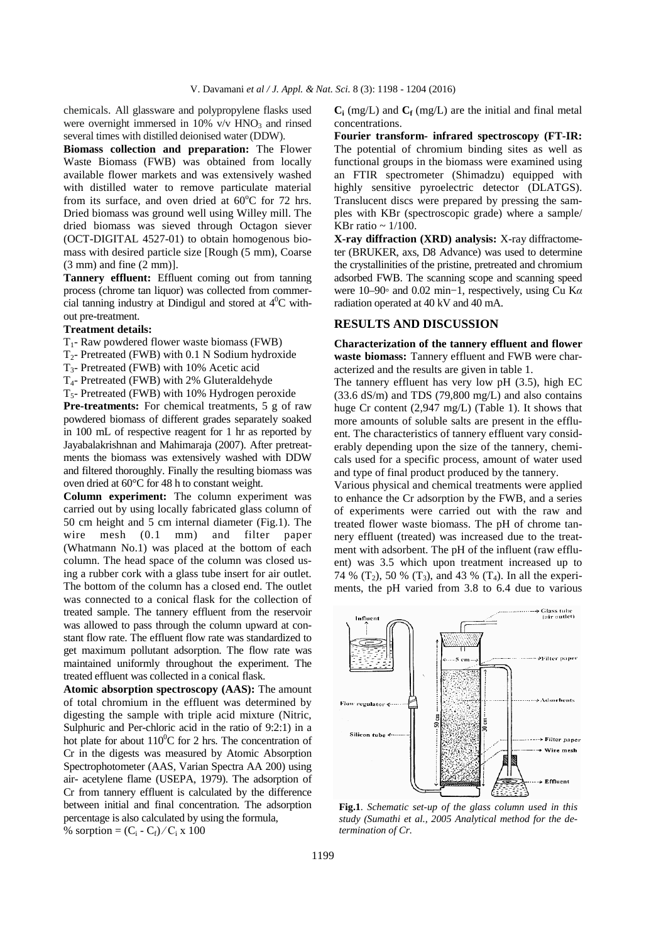chemicals. All glassware and polypropylene flasks used were overnight immersed in 10%  $v/v$  HNO<sub>3</sub> and rinsed several times with distilled deionised water (DDW).

**Biomass collection and preparation:** The Flower Waste Biomass (FWB) was obtained from locally available flower markets and was extensively washed with distilled water to remove particulate material from its surface, and oven dried at  $60^{\circ}$ C for 72 hrs. Dried biomass was ground well using Willey mill. The dried biomass was sieved through Octagon siever (OCT-DIGITAL 4527-01) to obtain homogenous biomass with desired particle size [Rough (5 mm), Coarse (3 mm) and fine (2 mm)].

**Tannery effluent:** Effluent coming out from tanning process (chrome tan liquor) was collected from commercial tanning industry at Dindigul and stored at  $4^0C$  without pre-treatment.

#### **Treatment details:**

- $T_1$  Raw powdered flower waste biomass (FWB)
- $T_2$  Pretreated (FWB) with 0.1 N Sodium hydroxide
- T3- Pretreated (FWB) with 10% Acetic acid
- T4- Pretreated (FWB) with 2% Gluteraldehyde
- $T<sub>5</sub>$  Pretreated (FWB) with 10% Hydrogen peroxide

**Pre-treatments:** For chemical treatments, 5 g of raw powdered biomass of different grades separately soaked in 100 mL of respective reagent for 1 hr as reported by Jayabalakrishnan and Mahimaraja (2007). After pretreatments the biomass was extensively washed with DDW and filtered thoroughly. Finally the resulting biomass was oven dried at 60°C for 48 h to constant weight.

**Column experiment:** The column experiment was carried out by using locally fabricated glass column of 50 cm height and 5 cm internal diameter (Fig.1). The wire mesh (0.1 mm) and filter paper (Whatmann No.1) was placed at the bottom of each column. The head space of the column was closed using a rubber cork with a glass tube insert for air outlet. The bottom of the column has a closed end. The outlet was connected to a conical flask for the collection of treated sample. The tannery effluent from the reservoir was allowed to pass through the column upward at constant flow rate. The effluent flow rate was standardized to get maximum pollutant adsorption. The flow rate was maintained uniformly throughout the experiment. The treated effluent was collected in a conical flask.

**Atomic absorption spectroscopy (AAS):** The amount of total chromium in the effluent was determined by digesting the sample with triple acid mixture (Nitric, Sulphuric and Per-chloric acid in the ratio of 9:2:1) in a hot plate for about  $110^0C$  for 2 hrs. The concentration of Cr in the digests was measured by Atomic Absorption Spectrophotometer (AAS, Varian Spectra AA 200) using air- acetylene flame (USEPA, 1979). The adsorption of Cr from tannery effluent is calculated by the difference between initial and final concentration. The adsorption percentage is also calculated by using the formula, % sorption =  $(C_i - C_f) / C_i \times 100$ 

 $C_i$  (mg/L) and  $C_f$  (mg/L) are the initial and final metal concentrations.

**Fourier transform- infrared spectroscopy (FT-IR:**  The potential of chromium binding sites as well as functional groups in the biomass were examined using an FTIR spectrometer (Shimadzu) equipped with highly sensitive pyroelectric detector (DLATGS). Translucent discs were prepared by pressing the samples with KBr (spectroscopic grade) where a sample/ KBr ratio  $\sim 1/100$ .

**X-ray diffraction (XRD) analysis:** X-ray diffractometer (BRUKER, axs, D8 Advance) was used to determine the crystallinities of the pristine, pretreated and chromium adsorbed FWB. The scanning scope and scanning speed were 10–90◦ and 0.02 min−1, respectively, using Cu K*α* radiation operated at 40 kV and 40 mA.

### **RESULTS AND DISCUSSION**

**Characterization of the tannery effluent and flower waste biomass:** Tannery effluent and FWB were characterized and the results are given in table 1.

The tannery effluent has very low pH (3.5), high EC  $(33.6 \text{ dS/m})$  and TDS  $(79,800 \text{ mg/L})$  and also contains huge Cr content (2,947 mg/L) (Table 1). It shows that more amounts of soluble salts are present in the effluent. The characteristics of tannery effluent vary considerably depending upon the size of the tannery, chemicals used for a specific process, amount of water used and type of final product produced by the tannery.

Various physical and chemical treatments were applied to enhance the Cr adsorption by the FWB, and a series of experiments were carried out with the raw and treated flower waste biomass. The pH of chrome tannery effluent (treated) was increased due to the treatment with adsorbent. The pH of the influent (raw effluent) was 3.5 which upon treatment increased up to 74 %  $(T_2)$ , 50 %  $(T_3)$ , and 43 %  $(T_4)$ . In all the experiments, the pH varied from 3.8 to 6.4 due to various



**Fig.1**. *Schematic set-up of the glass column used in this study (Sumathi et al., 2005 Analytical method for the determination of Cr.*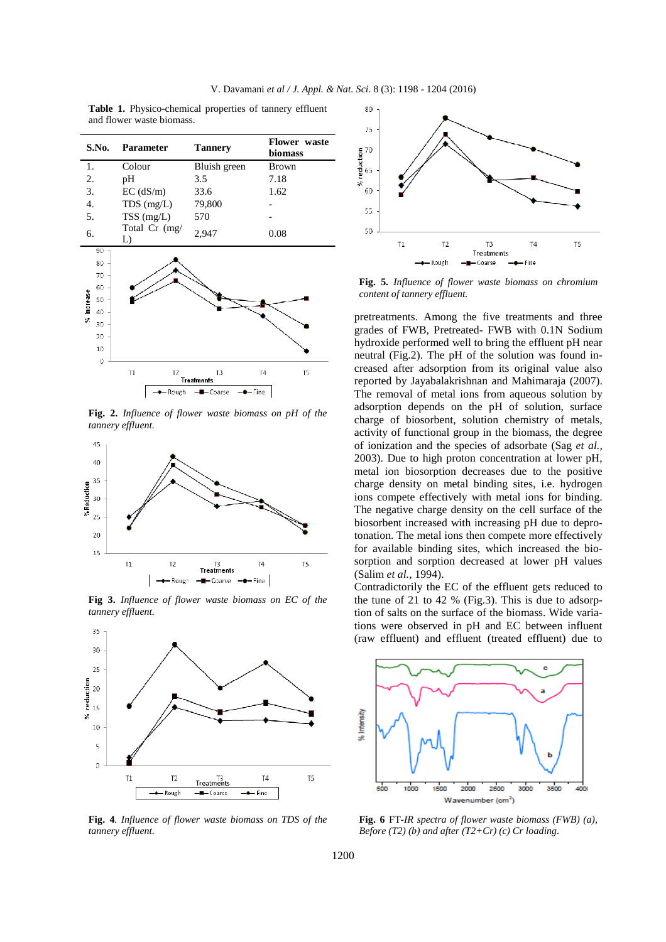| Table 1. Physico-chemical properties of tannery effluent |  |  |
|----------------------------------------------------------|--|--|
| and flower waste biomass.                                |  |  |

| S.No.                                                                 | Parameter            | <b>Tannery</b>          | Flower waste<br>biomass |  |  |
|-----------------------------------------------------------------------|----------------------|-------------------------|-------------------------|--|--|
| 1.                                                                    | Colour               | Bluish green            | <b>Brown</b>            |  |  |
| 2.                                                                    | pH                   | 3.5                     | 7.18                    |  |  |
| 3.                                                                    | $EC$ (dS/m)          | 33.6                    | 1.62                    |  |  |
| 4.                                                                    | $TDS$ (mg/L)         | 79,800                  |                         |  |  |
| 5.                                                                    | $TSS$ (mg/L)         | 570                     |                         |  |  |
| 6.                                                                    | Total Cr (mg/<br>L)  | 2,947                   | 0.08                    |  |  |
| 90<br>80<br>70<br>60<br>% increase<br>50<br>40<br>30<br>20<br>10<br>0 |                      |                         |                         |  |  |
|                                                                       | T1<br>T <sub>2</sub> | T3<br><b>Treatments</b> | T4<br>T5                |  |  |
| -Coarse<br>- Rough<br>– Fine                                          |                      |                         |                         |  |  |

**Fig. 2.** *Influence of flower waste biomass on pH of the tannery effluent.* 



**Fig 3.** *Influence of flower waste biomass on EC of the tannery effluent.*



**Fig. 4***. Influence of flower waste biomass on TDS of the tannery effluent.*



**Fig. 5.** *Influence of flower waste biomass on chromium content of tannery effluent.*

pretreatments. Among the five treatments and three grades of FWB, Pretreated- FWB with 0.1N Sodium hydroxide performed well to bring the effluent pH near neutral (Fig.2). The pH of the solution was found increased after adsorption from its original value also reported by Jayabalakrishnan and Mahimaraja (2007). The removal of metal ions from aqueous solution by adsorption depends on the pH of solution, surface charge of biosorbent, solution chemistry of metals, activity of functional group in the biomass, the degree of ionization and the species of adsorbate (Sag *et al.,*  2003). Due to high proton concentration at lower pH, metal ion biosorption decreases due to the positive charge density on metal binding sites, i.e. hydrogen ions compete effectively with metal ions for binding. The negative charge density on the cell surface of the biosorbent increased with increasing pH due to deprotonation. The metal ions then compete more effectively for available binding sites, which increased the biosorption and sorption decreased at lower pH values (Salim *et al.,* 1994).

Contradictorily the EC of the effluent gets reduced to the tune of 21 to 42 % (Fig.3). This is due to adsorption of salts on the surface of the biomass. Wide variations were observed in pH and EC between influent (raw effluent) and effluent (treated effluent) due to



**Fig. 6** FT*-IR spectra of flower waste biomass (FWB) (a), Before (T2) (b) and after (T2+Cr) (c) Cr loading.*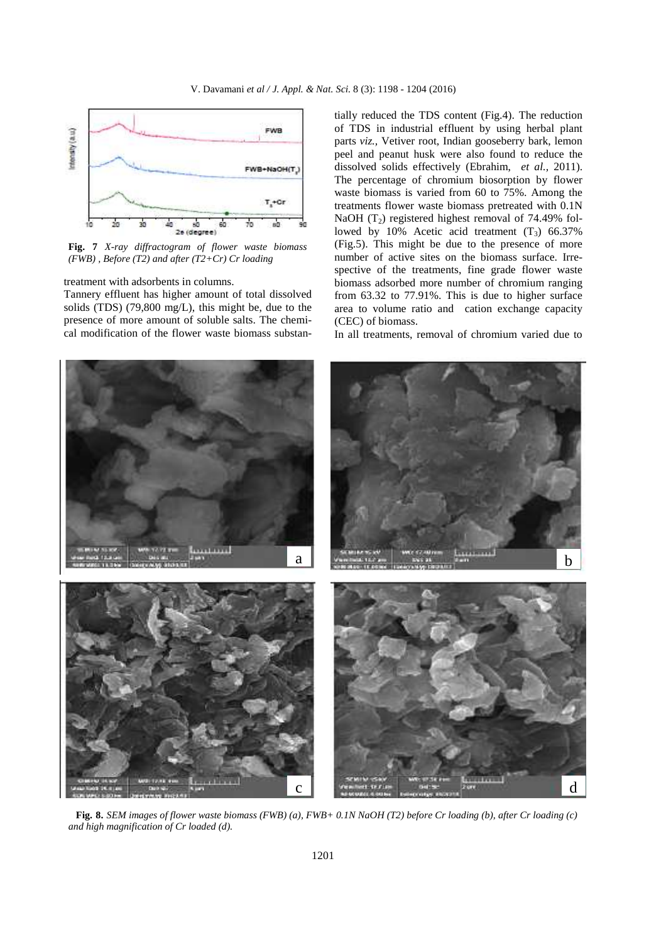

**Fig. 7** *X-ray diffractogram of flower waste biomass (FWB) , Before (T2) and after (T2+Cr) Cr loading* 

treatment with adsorbents in columns.

Tannery effluent has higher amount of total dissolved solids (TDS) (79,800 mg/L), this might be, due to the presence of more amount of soluble salts. The chemical modification of the flower waste biomass substan-

tially reduced the TDS content (Fig.4). The reduction of TDS in industrial effluent by using herbal plant parts *viz.,* Vetiver root, Indian gooseberry bark, lemon peel and peanut husk were also found to reduce the dissolved solids effectively (Ebrahim, *et al.,* 2011). The percentage of chromium biosorption by flower waste biomass is varied from 60 to 75%. Among the treatments flower waste biomass pretreated with 0.1N NaOH  $(T_2)$  registered highest removal of 74.49% followed by 10% Acetic acid treatment  $(T_3)$  66.37% (Fig.5). This might be due to the presence of more number of active sites on the biomass surface. Irrespective of the treatments, fine grade flower waste biomass adsorbed more number of chromium ranging from 63.32 to 77.91%. This is due to higher surface area to volume ratio and cation exchange capacity (CEC) of biomass.

In all treatments, removal of chromium varied due to



 **Fig. 8.** *SEM images of flower waste biomass (FWB) (a), FWB+ 0.1N NaOH (T2) before Cr loading (b), after Cr loading (c) and high magnification of Cr loaded (d).*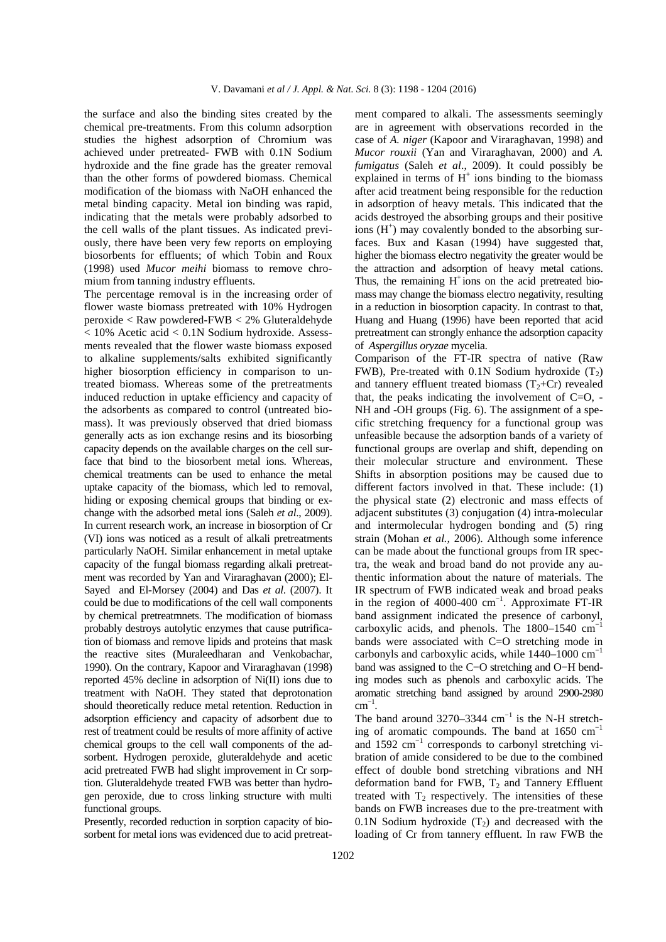the surface and also the binding sites created by the chemical pre-treatments. From this column adsorption studies the highest adsorption of Chromium was achieved under pretreated- FWB with 0.1N Sodium hydroxide and the fine grade has the greater removal than the other forms of powdered biomass. Chemical modification of the biomass with NaOH enhanced the metal binding capacity. Metal ion binding was rapid, indicating that the metals were probably adsorbed to the cell walls of the plant tissues. As indicated previously, there have been very few reports on employing biosorbents for effluents; of which Tobin and Roux (1998) used *Mucor meihi* biomass to remove chromium from tanning industry effluents.

The percentage removal is in the increasing order of flower waste biomass pretreated with 10% Hydrogen peroxide < Raw powdered-FWB < 2% Gluteraldehyde < 10% Acetic acid < 0.1N Sodium hydroxide. Assessments revealed that the flower waste biomass exposed to alkaline supplements/salts exhibited significantly higher biosorption efficiency in comparison to untreated biomass. Whereas some of the pretreatments induced reduction in uptake efficiency and capacity of the adsorbents as compared to control (untreated biomass). It was previously observed that dried biomass generally acts as ion exchange resins and its biosorbing capacity depends on the available charges on the cell surface that bind to the biosorbent metal ions. Whereas, chemical treatments can be used to enhance the metal uptake capacity of the biomass, which led to removal, hiding or exposing chemical groups that binding or exchange with the adsorbed metal ions (Saleh *et al*., 2009). In current research work, an increase in biosorption of Cr (VI) ions was noticed as a result of alkali pretreatments particularly NaOH. Similar enhancement in metal uptake capacity of the fungal biomass regarding alkali pretreatment was recorded by Yan and Viraraghavan (2000); El-Sayed and El-Morsey (2004) and Das *et al*. (2007). It could be due to modifications of the cell wall components by chemical pretreatmnets. The modification of biomass probably destroys autolytic enzymes that cause putrification of biomass and remove lipids and proteins that mask the reactive sites (Muraleedharan and Venkobachar, 1990). On the contrary, Kapoor and Viraraghavan (1998) reported 45% decline in adsorption of Ni(II) ions due to treatment with NaOH. They stated that deprotonation should theoretically reduce metal retention. Reduction in adsorption efficiency and capacity of adsorbent due to rest of treatment could be results of more affinity of active chemical groups to the cell wall components of the adsorbent. Hydrogen peroxide, gluteraldehyde and acetic acid pretreated FWB had slight improvement in Cr sorption. Gluteraldehyde treated FWB was better than hydrogen peroxide, due to cross linking structure with multi functional groups.

Presently, recorded reduction in sorption capacity of biosorbent for metal ions was evidenced due to acid pretreat-

ment compared to alkali. The assessments seemingly are in agreement with observations recorded in the case of *A. niger* (Kapoor and Viraraghavan, 1998) and *Mucor rouxii* (Yan and Viraraghavan, 2000) and *A. fumigatus* (Saleh *et al*., 2009). It could possibly be explained in terms of  $H^+$  ions binding to the biomass after acid treatment being responsible for the reduction in adsorption of heavy metals. This indicated that the acids destroyed the absorbing groups and their positive ions  $(H<sup>+</sup>)$  may covalently bonded to the absorbing surfaces. Bux and Kasan (1994) have suggested that, higher the biomass electro negativity the greater would be the attraction and adsorption of heavy metal cations. Thus, the remaining  $H^+$ ions on the acid pretreated biomass may change the biomass electro negativity, resulting in a reduction in biosorption capacity. In contrast to that, Huang and Huang (1996) have been reported that acid pretreatment can strongly enhance the adsorption capacity of *Aspergillus oryzae* mycelia.

Comparison of the FT-IR spectra of native (Raw FWB), Pre-treated with 0.1N Sodium hydroxide  $(T_2)$ and tannery effluent treated biomass  $(T_2+Cr)$  revealed that, the peaks indicating the involvement of  $C=O$ , -NH and -OH groups (Fig. 6). The assignment of a specific stretching frequency for a functional group was unfeasible because the adsorption bands of a variety of functional groups are overlap and shift, depending on their molecular structure and environment. These Shifts in absorption positions may be caused due to different factors involved in that. These include: (1) the physical state (2) electronic and mass effects of adjacent substitutes (3) conjugation (4) intra-molecular and intermolecular hydrogen bonding and (5) ring strain (Mohan *et al.,* 2006). Although some inference can be made about the functional groups from IR spectra, the weak and broad band do not provide any authentic information about the nature of materials. The IR spectrum of FWB indicated weak and broad peaks in the region of 4000-400 cm−1. Approximate FT-IR band assignment indicated the presence of carbonyl, carboxylic acids, and phenols. The 1800–1540 cm−1 bands were associated with C=O stretching mode in carbonyls and carboxylic acids, while 1440–1000 cm−1 band was assigned to the C−O stretching and O−H bending modes such as phenols and carboxylic acids. The aromatic stretching band assigned by around 2900-2980  $cm^{-1}$ .

The band around 3270–3344  $cm^{-1}$  is the N-H stretching of aromatic compounds. The band at  $1650 \text{ cm}^{-1}$ and 1592  $cm^{-1}$  corresponds to carbonyl stretching vibration of amide considered to be due to the combined effect of double bond stretching vibrations and NH deformation band for FWB,  $T_2$  and Tannery Effluent treated with  $T_2$  respectively. The intensities of these bands on FWB increases due to the pre-treatment with 0.1N Sodium hydroxide  $(T_2)$  and decreased with the loading of Cr from tannery effluent. In raw FWB the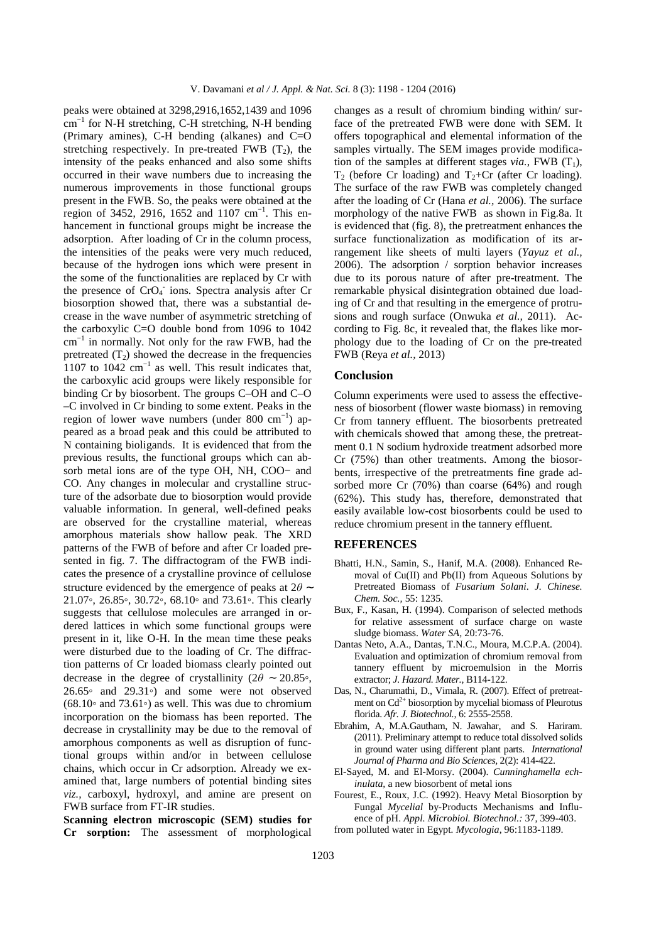peaks were obtained at 3298,2916,1652,1439 and 1096  $cm^{-1}$  for N-H stretching, C-H stretching, N-H bending (Primary amines), C-H bending (alkanes) and C=O stretching respectively. In pre-treated FWB  $(T_2)$ , the intensity of the peaks enhanced and also some shifts occurred in their wave numbers due to increasing the numerous improvements in those functional groups present in the FWB. So, the peaks were obtained at the region of 3452, 2916, 1652 and 1107 cm−1. This enhancement in functional groups might be increase the adsorption. After loading of Cr in the column process, the intensities of the peaks were very much reduced, because of the hydrogen ions which were present in the some of the functionalities are replaced by Cr with the presence of CrO<sub>4</sub> ions. Spectra analysis after Cr biosorption showed that, there was a substantial decrease in the wave number of asymmetric stretching of the carboxylic C=O double bond from 1096 to 1042 cm−1 in normally. Not only for the raw FWB, had the pretreated  $(T_2)$  showed the decrease in the frequencies 1107 to 1042  $cm^{-1}$  as well. This result indicates that, the carboxylic acid groups were likely responsible for binding Cr by biosorbent. The groups C–OH and C–O –C involved in Cr binding to some extent. Peaks in the region of lower wave numbers (under 800 cm−1) appeared as a broad peak and this could be attributed to N containing bioligands. It is evidenced that from the previous results, the functional groups which can absorb metal ions are of the type OH, NH, COO− and CO. Any changes in molecular and crystalline structure of the adsorbate due to biosorption would provide valuable information. In general, well-defined peaks are observed for the crystalline material, whereas amorphous materials show hallow peak. The XRD patterns of the FWB of before and after Cr loaded presented in fig. 7. The diffractogram of the FWB indicates the presence of a crystalline province of cellulose structure evidenced by the emergence of peaks at 2*θ* ∼ 21.07◦, 26.85◦, 30.72◦, 68.10◦ and 73.61◦. This clearly suggests that cellulose molecules are arranged in ordered lattices in which some functional groups were present in it, like O-H. In the mean time these peaks were disturbed due to the loading of Cr. The diffraction patterns of Cr loaded biomass clearly pointed out decrease in the degree of crystallinity ( $2\theta \sim 20.85$ °, 26.65◦ and 29.31◦) and some were not observed  $(68.10<sup>°</sup>$  and  $73.61<sup>°</sup>$  as well. This was due to chromium incorporation on the biomass has been reported. The decrease in crystallinity may be due to the removal of amorphous components as well as disruption of functional groups within and/or in between cellulose chains, which occur in Cr adsorption. Already we examined that, large numbers of potential binding sites *viz.,* carboxyl, hydroxyl, and amine are present on FWB surface from FT-IR studies.

**Scanning electron microscopic (SEM) studies for Cr sorption:** The assessment of morphological

changes as a result of chromium binding within/ surface of the pretreated FWB were done with SEM. It offers topographical and elemental information of the samples virtually. The SEM images provide modification of the samples at different stages *via*., FWB  $(T_1)$ ,  $T_2$  (before Cr loading) and  $T_2$ +Cr (after Cr loading). The surface of the raw FWB was completely changed after the loading of Cr (Hana *et al.,* 2006). The surface morphology of the native FWB as shown in Fig.8a. It is evidenced that (fig. 8), the pretreatment enhances the surface functionalization as modification of its arrangement like sheets of multi layers (*Yayuz et al.,* 2006). The adsorption / sorption behavior increases due to its porous nature of after pre-treatment. The remarkable physical disintegration obtained due loading of Cr and that resulting in the emergence of protrusions and rough surface (Onwuka *et al.,* 2011). According to Fig. 8c, it revealed that, the flakes like morphology due to the loading of Cr on the pre-treated FWB (Reya *et al.,* 2013)

#### **Conclusion**

Column experiments were used to assess the effectiveness of biosorbent (flower waste biomass) in removing Cr from tannery effluent. The biosorbents pretreated with chemicals showed that among these, the pretreatment 0.1 N sodium hydroxide treatment adsorbed more Cr (75%) than other treatments. Among the biosorbents, irrespective of the pretreatments fine grade adsorbed more Cr (70%) than coarse (64%) and rough (62%). This study has, therefore, demonstrated that easily available low-cost biosorbents could be used to reduce chromium present in the tannery effluent.

#### **REFERENCES**

- Bhatti, H.N., Samin, S., Hanif, M.A. (2008). Enhanced Removal of Cu(II) and Pb(II) from Aqueous Solutions by Pretreated Biomass of *Fusarium Solani*. *J. Chinese. Chem. Soc.,* 55: 1235.
- Bux, F., Kasan, H. (1994). Comparison of selected methods for relative assessment of surface charge on waste sludge biomass. *Water SA,* 20:73-76.
- Dantas Neto, A.A., Dantas, T.N.C., Moura, M.C.P.A. (2004). Evaluation and optimization of chromium removal from tannery effluent by microemulsion in the Morris extractor; *J. Hazard. Mater.,* B114-122.
- Das, N., Charumathi, D., Vimala, R. (2007). Effect of pretreatment on  $Cd^{2+}$  biosorption by mycelial biomass of Pleurotus florida. *Afr. J. Biotechnol.,* 6: 2555-2558.
- Ebrahim, A, M.A.Gautham, N. Jawahar, and S. Hariram. (2011). Preliminary attempt to reduce total dissolved solids in ground water using different plant parts. *International Journal of Pharma and Bio Sciences,* 2(2): 414-422.
- El-Sayed, M. and El-Morsy. (2004). *Cunninghamella echinulata,* a new biosorbent of metal ions
- Fourest, E., Roux, J.C. (1992). Heavy Metal Biosorption by Fungal *Mycelial* by-Products Mechanisms and Influence of pH. *Appl. Microbiol. Biotechnol.:* 37, 399-403.
- from polluted water in Egypt*. Mycologia*, 96:1183-1189.